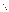